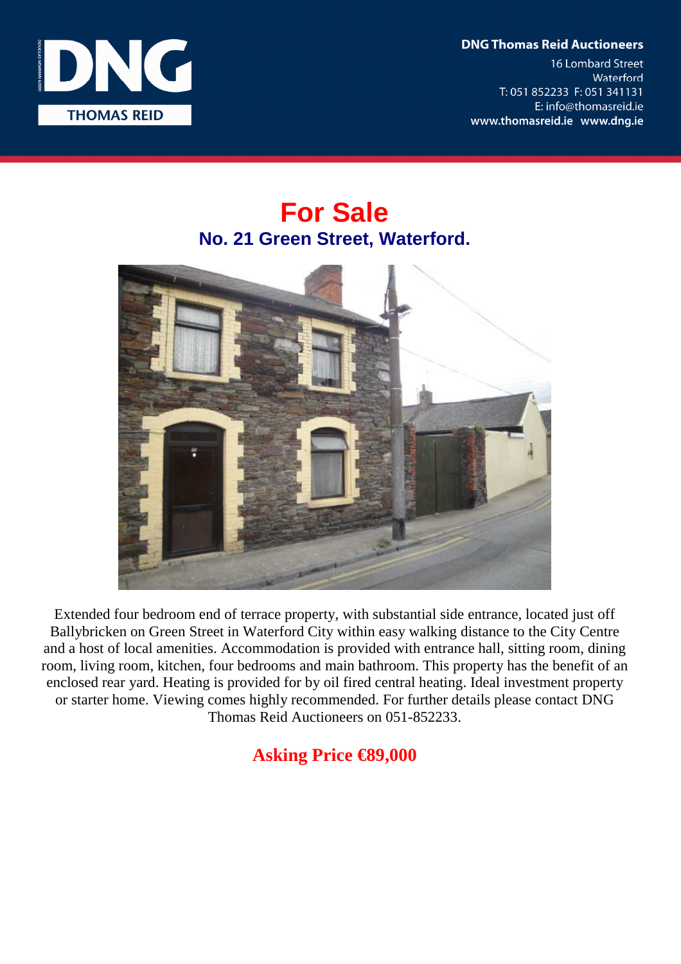**DNG Thomas Reid Auctioneers** 

**16 Lombard Street** Waterford T: 051 852233 F: 051 341131 E: info@thomasreid.ie www.thomasreid.ie www.dng.ie



## **For Sale No. 21 Green Street, Waterford.**



Extended four bedroom end of terrace property, with substantial side entrance, located just off Ballybricken on Green Street in Waterford City within easy walking distance to the City Centre and a host of local amenities. Accommodation is provided with entrance hall, sitting room, dining room, living room, kitchen, four bedrooms and main bathroom. This property has the benefit of an enclosed rear yard. Heating is provided for by oil fired central heating. Ideal investment property or starter home. Viewing comes highly recommended. For further details please contact DNG Thomas Reid Auctioneers on 051-852233.

## **Asking Price €89,000**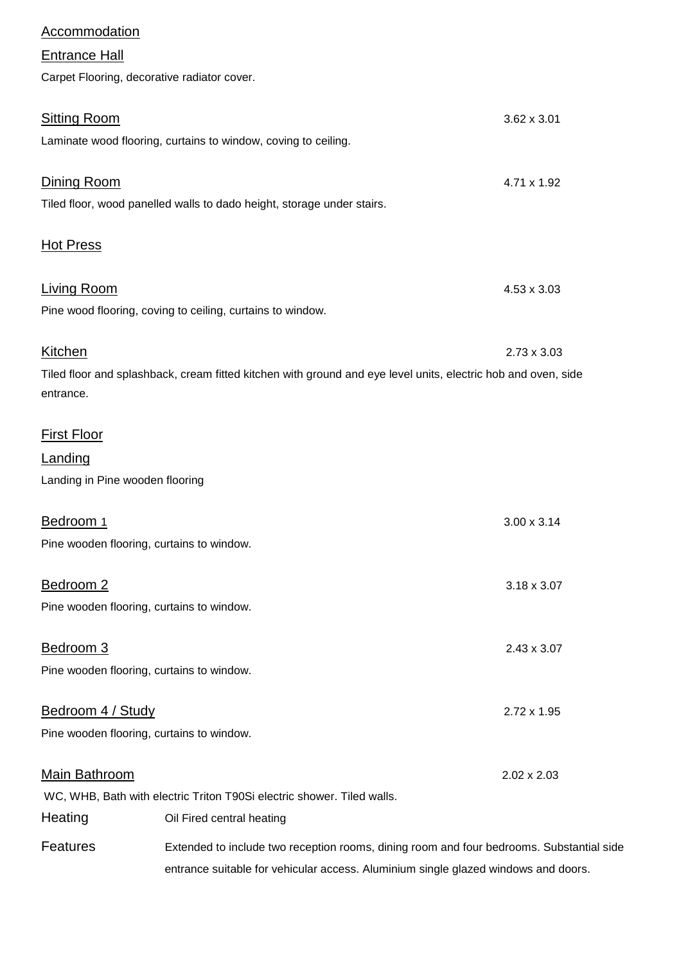| <b>Accommodation</b>            |                                                                                                               |                    |
|---------------------------------|---------------------------------------------------------------------------------------------------------------|--------------------|
| <b>Entrance Hall</b>            |                                                                                                               |                    |
|                                 | Carpet Flooring, decorative radiator cover.                                                                   |                    |
| <b>Sitting Room</b>             |                                                                                                               | 3.62 x 3.01        |
|                                 | Laminate wood flooring, curtains to window, coving to ceiling.                                                |                    |
| Dining Room                     |                                                                                                               | 4.71 x 1.92        |
|                                 | Tiled floor, wood panelled walls to dado height, storage under stairs.                                        |                    |
| <b>Hot Press</b>                |                                                                                                               |                    |
| <b>Living Room</b>              |                                                                                                               | 4.53 x 3.03        |
|                                 | Pine wood flooring, coving to ceiling, curtains to window.                                                    |                    |
| <b>Kitchen</b>                  |                                                                                                               | $2.73 \times 3.03$ |
| entrance.                       | Tiled floor and splashback, cream fitted kitchen with ground and eye level units, electric hob and oven, side |                    |
| <b>First Floor</b>              |                                                                                                               |                    |
| Landing                         |                                                                                                               |                    |
| Landing in Pine wooden flooring |                                                                                                               |                    |
| Bedroom 1                       |                                                                                                               | $3.00 \times 3.14$ |
|                                 | Pine wooden flooring, curtains to window.                                                                     |                    |
| Bedroom 2                       |                                                                                                               | $3.18 \times 3.07$ |
|                                 | Pine wooden flooring, curtains to window.                                                                     |                    |
| Bedroom 3                       |                                                                                                               | $2.43 \times 3.07$ |
|                                 | Pine wooden flooring, curtains to window.                                                                     |                    |
| Bedroom 4 / Study               |                                                                                                               | 2.72 x 1.95        |
|                                 | Pine wooden flooring, curtains to window.                                                                     |                    |
| <b>Main Bathroom</b>            |                                                                                                               | 2.02 x 2.03        |
|                                 | WC, WHB, Bath with electric Triton T90Si electric shower. Tiled walls.                                        |                    |
| Heating                         | Oil Fired central heating                                                                                     |                    |
| <b>Features</b>                 | Extended to include two reception rooms, dining room and four bedrooms. Substantial side                      |                    |
|                                 | entrance suitable for vehicular access. Aluminium single glazed windows and doors.                            |                    |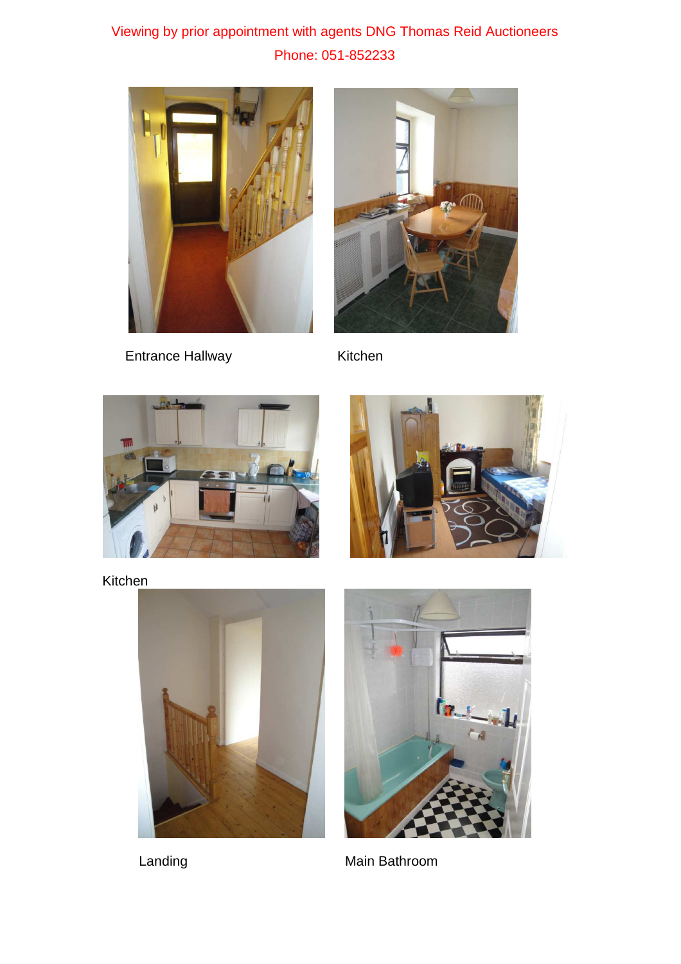## Viewing by prior appointment with agents DNG Thomas Reid Auctioneers Phone: 051-852233



Entrance Hallway Kitchen







Kitchen





Landing **Main Bathroom**